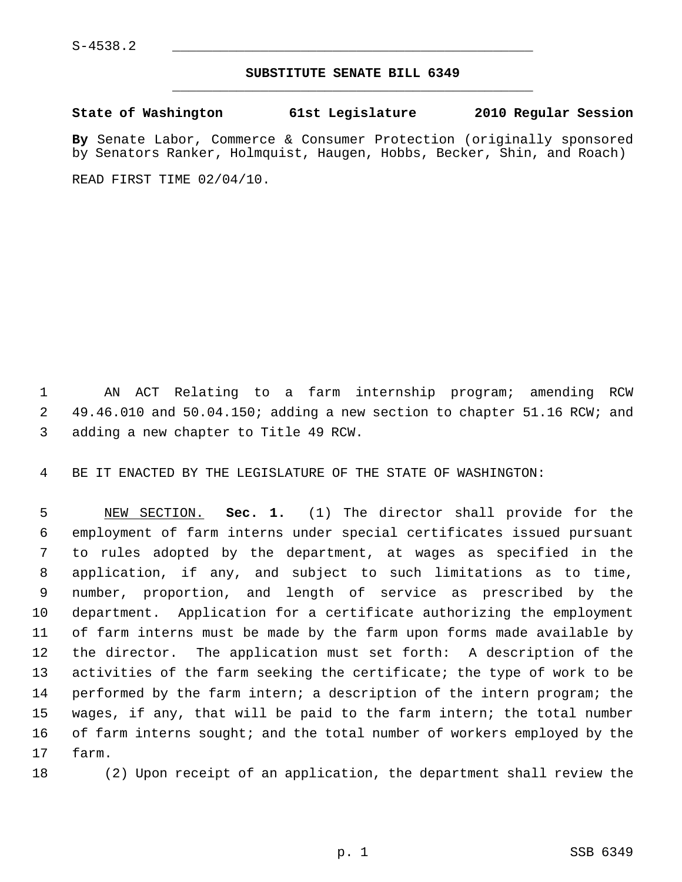## **SUBSTITUTE SENATE BILL 6349** \_\_\_\_\_\_\_\_\_\_\_\_\_\_\_\_\_\_\_\_\_\_\_\_\_\_\_\_\_\_\_\_\_\_\_\_\_\_\_\_\_\_\_\_\_

**State of Washington 61st Legislature 2010 Regular Session**

**By** Senate Labor, Commerce & Consumer Protection (originally sponsored by Senators Ranker, Holmquist, Haugen, Hobbs, Becker, Shin, and Roach)

READ FIRST TIME 02/04/10.

 1 AN ACT Relating to a farm internship program; amending RCW 2 49.46.010 and 50.04.150; adding a new section to chapter 51.16 RCW; and 3 adding a new chapter to Title 49 RCW.

4 BE IT ENACTED BY THE LEGISLATURE OF THE STATE OF WASHINGTON:

 5 NEW SECTION. **Sec. 1.** (1) The director shall provide for the 6 employment of farm interns under special certificates issued pursuant 7 to rules adopted by the department, at wages as specified in the 8 application, if any, and subject to such limitations as to time, 9 number, proportion, and length of service as prescribed by the 10 department. Application for a certificate authorizing the employment 11 of farm interns must be made by the farm upon forms made available by 12 the director. The application must set forth: A description of the 13 activities of the farm seeking the certificate; the type of work to be 14 performed by the farm intern; a description of the intern program; the 15 wages, if any, that will be paid to the farm intern; the total number 16 of farm interns sought; and the total number of workers employed by the 17 farm.

18 (2) Upon receipt of an application, the department shall review the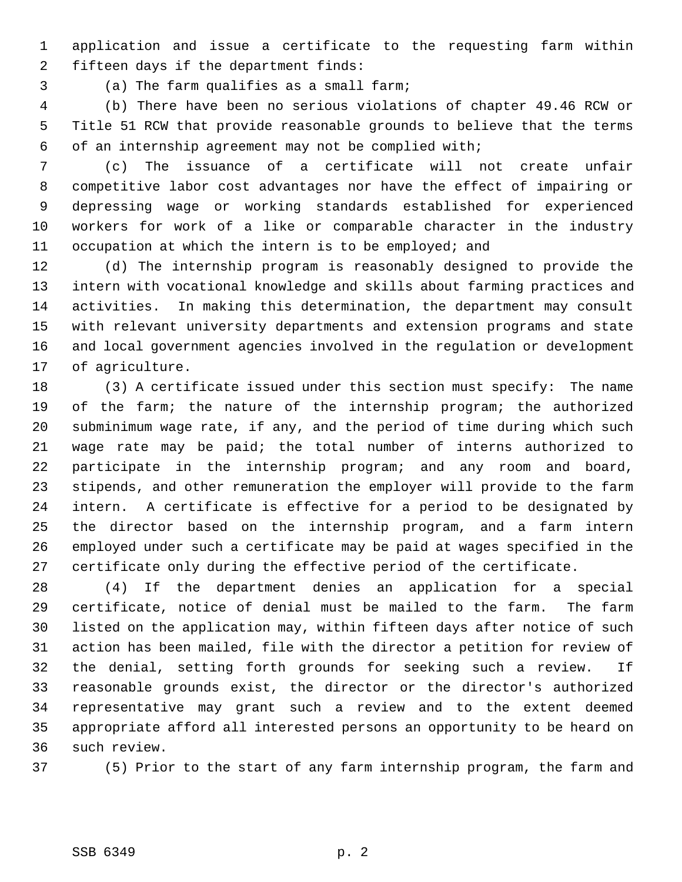1 application and issue a certificate to the requesting farm within 2 fifteen days if the department finds:

3 (a) The farm qualifies as a small farm;

 4 (b) There have been no serious violations of chapter 49.46 RCW or 5 Title 51 RCW that provide reasonable grounds to believe that the terms 6 of an internship agreement may not be complied with;

 7 (c) The issuance of a certificate will not create unfair 8 competitive labor cost advantages nor have the effect of impairing or 9 depressing wage or working standards established for experienced 10 workers for work of a like or comparable character in the industry 11 occupation at which the intern is to be employed; and

12 (d) The internship program is reasonably designed to provide the 13 intern with vocational knowledge and skills about farming practices and 14 activities. In making this determination, the department may consult 15 with relevant university departments and extension programs and state 16 and local government agencies involved in the regulation or development 17 of agriculture.

18 (3) A certificate issued under this section must specify: The name 19 of the farm; the nature of the internship program; the authorized 20 subminimum wage rate, if any, and the period of time during which such 21 wage rate may be paid; the total number of interns authorized to 22 participate in the internship program; and any room and board, 23 stipends, and other remuneration the employer will provide to the farm 24 intern. A certificate is effective for a period to be designated by 25 the director based on the internship program, and a farm intern 26 employed under such a certificate may be paid at wages specified in the 27 certificate only during the effective period of the certificate.

28 (4) If the department denies an application for a special 29 certificate, notice of denial must be mailed to the farm. The farm 30 listed on the application may, within fifteen days after notice of such 31 action has been mailed, file with the director a petition for review of 32 the denial, setting forth grounds for seeking such a review. If 33 reasonable grounds exist, the director or the director's authorized 34 representative may grant such a review and to the extent deemed 35 appropriate afford all interested persons an opportunity to be heard on 36 such review.

37 (5) Prior to the start of any farm internship program, the farm and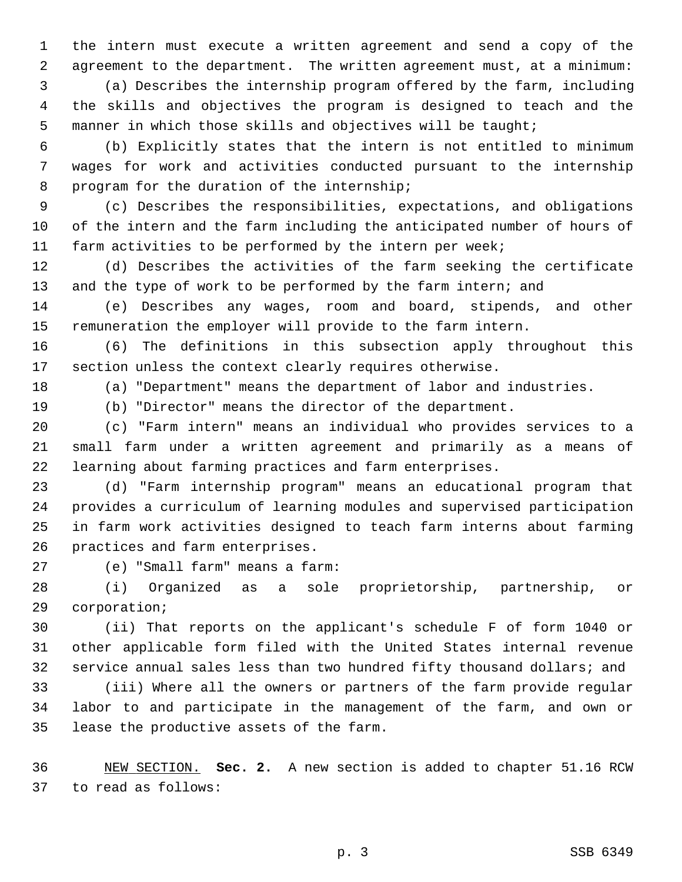1 the intern must execute a written agreement and send a copy of the 2 agreement to the department. The written agreement must, at a minimum:

 3 (a) Describes the internship program offered by the farm, including 4 the skills and objectives the program is designed to teach and the 5 manner in which those skills and objectives will be taught;

 6 (b) Explicitly states that the intern is not entitled to minimum 7 wages for work and activities conducted pursuant to the internship 8 program for the duration of the internship;

 9 (c) Describes the responsibilities, expectations, and obligations 10 of the intern and the farm including the anticipated number of hours of 11 farm activities to be performed by the intern per week;

12 (d) Describes the activities of the farm seeking the certificate 13 and the type of work to be performed by the farm intern; and

14 (e) Describes any wages, room and board, stipends, and other 15 remuneration the employer will provide to the farm intern.

16 (6) The definitions in this subsection apply throughout this 17 section unless the context clearly requires otherwise.

18 (a) "Department" means the department of labor and industries.

19 (b) "Director" means the director of the department.

20 (c) "Farm intern" means an individual who provides services to a 21 small farm under a written agreement and primarily as a means of 22 learning about farming practices and farm enterprises.

23 (d) "Farm internship program" means an educational program that 24 provides a curriculum of learning modules and supervised participation 25 in farm work activities designed to teach farm interns about farming 26 practices and farm enterprises.

27 (e) "Small farm" means a farm:

28 (i) Organized as a sole proprietorship, partnership, or 29 corporation;

30 (ii) That reports on the applicant's schedule F of form 1040 or 31 other applicable form filed with the United States internal revenue 32 service annual sales less than two hundred fifty thousand dollars; and

33 (iii) Where all the owners or partners of the farm provide regular 34 labor to and participate in the management of the farm, and own or 35 lease the productive assets of the farm.

36 NEW SECTION. **Sec. 2.** A new section is added to chapter 51.16 RCW 37 to read as follows: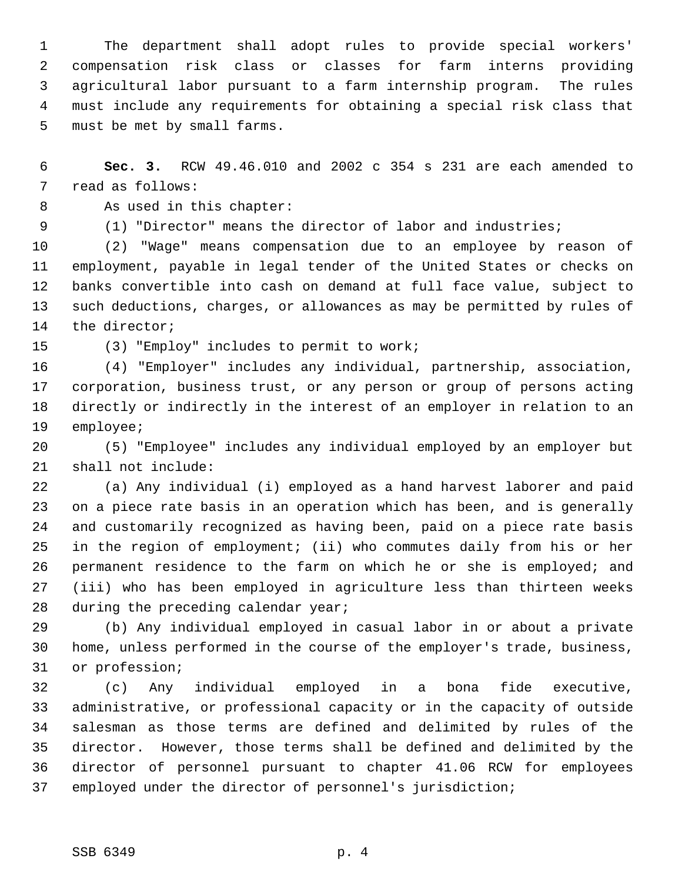1 The department shall adopt rules to provide special workers' 2 compensation risk class or classes for farm interns providing 3 agricultural labor pursuant to a farm internship program. The rules 4 must include any requirements for obtaining a special risk class that 5 must be met by small farms.

 6 **Sec. 3.** RCW 49.46.010 and 2002 c 354 s 231 are each amended to 7 read as follows:

- 8 As used in this chapter:
- 

9 (1) "Director" means the director of labor and industries;

10 (2) "Wage" means compensation due to an employee by reason of 11 employment, payable in legal tender of the United States or checks on 12 banks convertible into cash on demand at full face value, subject to 13 such deductions, charges, or allowances as may be permitted by rules of 14 the director;

15 (3) "Employ" includes to permit to work;

16 (4) "Employer" includes any individual, partnership, association, 17 corporation, business trust, or any person or group of persons acting 18 directly or indirectly in the interest of an employer in relation to an 19 employee;

20 (5) "Employee" includes any individual employed by an employer but 21 shall not include:

22 (a) Any individual (i) employed as a hand harvest laborer and paid 23 on a piece rate basis in an operation which has been, and is generally 24 and customarily recognized as having been, paid on a piece rate basis 25 in the region of employment; (ii) who commutes daily from his or her 26 permanent residence to the farm on which he or she is employed; and 27 (iii) who has been employed in agriculture less than thirteen weeks 28 during the preceding calendar year;

29 (b) Any individual employed in casual labor in or about a private 30 home, unless performed in the course of the employer's trade, business, 31 or profession;

32 (c) Any individual employed in a bona fide executive, 33 administrative, or professional capacity or in the capacity of outside 34 salesman as those terms are defined and delimited by rules of the 35 director. However, those terms shall be defined and delimited by the 36 director of personnel pursuant to chapter 41.06 RCW for employees 37 employed under the director of personnel's jurisdiction;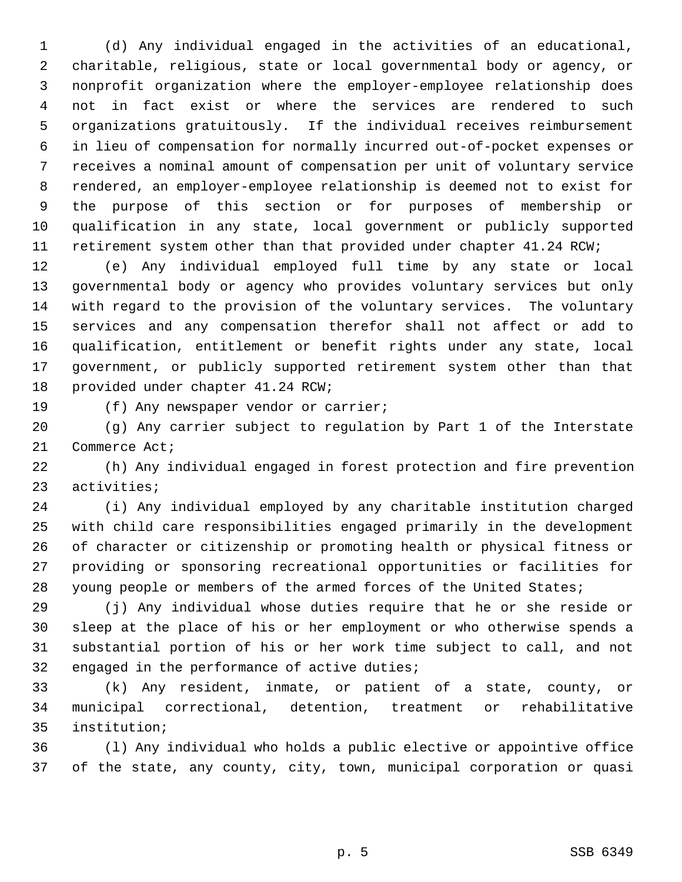1 (d) Any individual engaged in the activities of an educational, 2 charitable, religious, state or local governmental body or agency, or 3 nonprofit organization where the employer-employee relationship does 4 not in fact exist or where the services are rendered to such 5 organizations gratuitously. If the individual receives reimbursement 6 in lieu of compensation for normally incurred out-of-pocket expenses or 7 receives a nominal amount of compensation per unit of voluntary service 8 rendered, an employer-employee relationship is deemed not to exist for 9 the purpose of this section or for purposes of membership or 10 qualification in any state, local government or publicly supported 11 retirement system other than that provided under chapter 41.24 RCW;

12 (e) Any individual employed full time by any state or local 13 governmental body or agency who provides voluntary services but only 14 with regard to the provision of the voluntary services. The voluntary 15 services and any compensation therefor shall not affect or add to 16 qualification, entitlement or benefit rights under any state, local 17 government, or publicly supported retirement system other than that 18 provided under chapter 41.24 RCW;

19 (f) Any newspaper vendor or carrier;

20 (g) Any carrier subject to regulation by Part 1 of the Interstate 21 Commerce Act;

22 (h) Any individual engaged in forest protection and fire prevention 23 activities;

24 (i) Any individual employed by any charitable institution charged 25 with child care responsibilities engaged primarily in the development 26 of character or citizenship or promoting health or physical fitness or 27 providing or sponsoring recreational opportunities or facilities for 28 young people or members of the armed forces of the United States;

29 (j) Any individual whose duties require that he or she reside or 30 sleep at the place of his or her employment or who otherwise spends a 31 substantial portion of his or her work time subject to call, and not 32 engaged in the performance of active duties;

33 (k) Any resident, inmate, or patient of a state, county, or 34 municipal correctional, detention, treatment or rehabilitative 35 institution;

36 (l) Any individual who holds a public elective or appointive office 37 of the state, any county, city, town, municipal corporation or quasi

p. 5 SSB 6349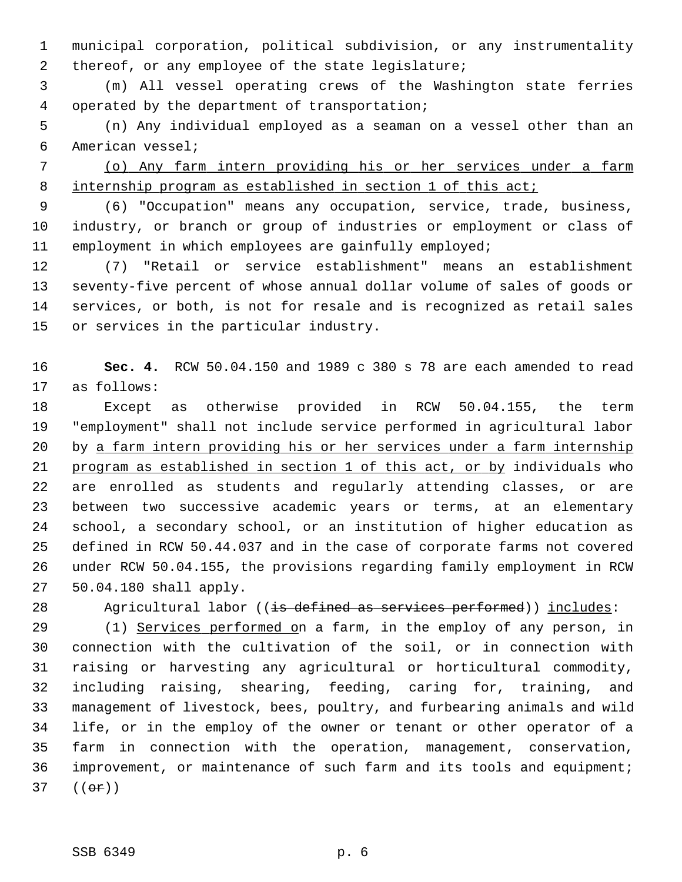1 municipal corporation, political subdivision, or any instrumentality 2 thereof, or any employee of the state legislature;

 3 (m) All vessel operating crews of the Washington state ferries 4 operated by the department of transportation;

 5 (n) Any individual employed as a seaman on a vessel other than an 6 American vessel;

 7 (o) Any farm intern providing his or her services under a farm 8 internship program as established in section 1 of this act;

 9 (6) "Occupation" means any occupation, service, trade, business, 10 industry, or branch or group of industries or employment or class of 11 employment in which employees are gainfully employed;

12 (7) "Retail or service establishment" means an establishment 13 seventy-five percent of whose annual dollar volume of sales of goods or 14 services, or both, is not for resale and is recognized as retail sales 15 or services in the particular industry.

16 **Sec. 4.** RCW 50.04.150 and 1989 c 380 s 78 are each amended to read 17 as follows:

18 Except as otherwise provided in RCW 50.04.155, the term 19 "employment" shall not include service performed in agricultural labor 20 by a farm intern providing his or her services under a farm internship 21 program as established in section 1 of this act, or by individuals who 22 are enrolled as students and regularly attending classes, or are 23 between two successive academic years or terms, at an elementary 24 school, a secondary school, or an institution of higher education as 25 defined in RCW 50.44.037 and in the case of corporate farms not covered 26 under RCW 50.04.155, the provisions regarding family employment in RCW 27 50.04.180 shall apply.

28 Agricultural labor ((is defined as services performed)) includes:

29 (1) Services performed on a farm, in the employ of any person, in 30 connection with the cultivation of the soil, or in connection with 31 raising or harvesting any agricultural or horticultural commodity, 32 including raising, shearing, feeding, caring for, training, and 33 management of livestock, bees, poultry, and furbearing animals and wild 34 life, or in the employ of the owner or tenant or other operator of a 35 farm in connection with the operation, management, conservation, 36 improvement, or maintenance of such farm and its tools and equipment;  $37$  (( $\theta$ r))